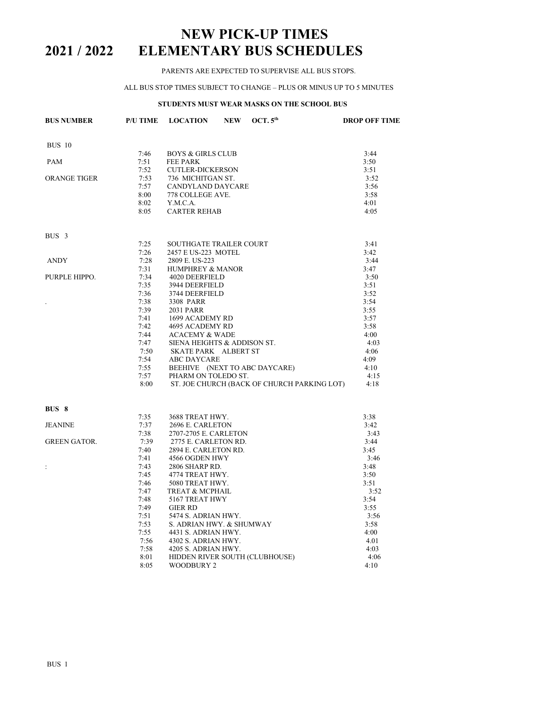# **NEW PICK-UP TIMES 2021 / 2022 ELEMENTARY BUS SCHEDULES**

### PARENTS ARE EXPECTED TO SUPERVISE ALL BUS STOPS.

#### ALL BUS STOP TIMES SUBJECT TO CHANGE – PLUS OR MINUS UP TO 5 MINUTES

## **STUDENTS MUST WEAR MASKS ON THE SCHOOL BUS**

| <b>BUS NUMBER</b>   | <b>P/U TIME</b> | <b>LOCATION</b>                                                            | <b>NEW</b> | OCT. $5th$                                                                                       | <b>DROP OFF TIME</b> |
|---------------------|-----------------|----------------------------------------------------------------------------|------------|--------------------------------------------------------------------------------------------------|----------------------|
| <b>BUS 10</b>       |                 |                                                                            |            |                                                                                                  |                      |
|                     | 7:46            | <b>BOYS &amp; GIRLS CLUB</b>                                               |            |                                                                                                  | 3:44                 |
| PAM                 | 7:51            | <b>FEE PARK</b>                                                            |            |                                                                                                  | 3:50                 |
|                     | 7:52            | CUTLER-DICKERSON                                                           |            |                                                                                                  | 3:51                 |
| ORANGE TIGER        | 7:53            | 736 MICHITGAN ST.                                                          |            |                                                                                                  | 3:52                 |
|                     | 7:57            | CANDYLAND DAYCARE                                                          |            |                                                                                                  | 3:56                 |
|                     | 8:00            | 778 COLLEGE AVE.                                                           |            |                                                                                                  | 3:58                 |
|                     | 8:02            | Y.M.C.A.                                                                   |            |                                                                                                  | 4:01                 |
|                     | 8:05            | <b>CARTER REHAB</b>                                                        |            |                                                                                                  | 4:05                 |
| BUS <sub>3</sub>    |                 |                                                                            |            |                                                                                                  |                      |
|                     | 7:25            | <b>SOUTHGATE TRAILER COURT</b>                                             |            |                                                                                                  | 3:41                 |
|                     | 7:26            | 2457 E US-223 MOTEL                                                        |            |                                                                                                  | 3:42                 |
| <b>ANDY</b>         | 7:28            | 2809 E. US-223                                                             |            |                                                                                                  | 3:44                 |
|                     | 7:31            | <b>HUMPHREY &amp; MANOR</b>                                                |            |                                                                                                  | 3:47                 |
| PURPLE HIPPO.       | 7:34            | 4020 DEERFIELD                                                             |            |                                                                                                  | 3:50                 |
|                     | 7:35            | 3944 DEERFIELD                                                             |            |                                                                                                  | 3:51                 |
|                     | 7:36            | 3744 DEERFIELD                                                             |            |                                                                                                  | 3:52                 |
| $\cdot$             | 7:38            | 3308 PARR                                                                  |            |                                                                                                  | 3:54                 |
|                     | 7:39            | 2031 PARR                                                                  |            |                                                                                                  | 3:55                 |
|                     | 7:41            |                                                                            |            |                                                                                                  | 3:57                 |
|                     | 7:42            |                                                                            |            |                                                                                                  | 3:58                 |
|                     | 7:44            |                                                                            |            | 2031 РАКК<br>1699 ACADEMY RD<br>4695 ACADEMY RD<br>АСАСЕМУ & WADE<br>SIENA HEIGHTS & ADDISON ST. | 4:00                 |
|                     | 7:47            |                                                                            |            |                                                                                                  | 4:03                 |
|                     | 7:50            | SKATE PARK ALBERT ST                                                       |            |                                                                                                  | 4:06                 |
|                     | 7:54            | ABC DAYCARE                                                                |            |                                                                                                  | 4:09                 |
|                     | 7:55            |                                                                            |            | BEEHIVE (NEXT TO ABC DAYCARE)                                                                    | 4:10                 |
|                     | 7:57            | PHARM ON TOLEDO ST.                                                        |            |                                                                                                  | 4:15                 |
|                     | 8:00            |                                                                            |            | ST. JOE CHURCH (BACK OF CHURCH PARKING LOT)                                                      | 4:18                 |
| BUS 8               |                 |                                                                            |            |                                                                                                  |                      |
|                     | 7:35            | 3688 TREAT HWY.                                                            |            |                                                                                                  | 3:38                 |
| <b>JEANINE</b>      | 7:37            | 2696 E. CARLETON                                                           |            |                                                                                                  | 3:42                 |
|                     | 7:38            | 2707-2705 E. CARLETON                                                      |            |                                                                                                  | 3:43                 |
| <b>GREEN GATOR.</b> | 7:39            | 2775 E. CARLETON RD.                                                       |            |                                                                                                  | 3:44                 |
|                     | 7:40            | 2894 E. CARLETON RD.                                                       |            |                                                                                                  | 3:45                 |
|                     | 7:41            | 4566 OGDEN HWY                                                             |            |                                                                                                  | 3:46                 |
| $\ddot{\cdot}$      | 7:43            | 2806 SHARP RD.                                                             |            |                                                                                                  | 3:48                 |
|                     | 7:45            | 4774 TREAT HWY.                                                            |            |                                                                                                  | 3:50                 |
|                     | 7:46            | 5080 TREAT HWY.                                                            |            |                                                                                                  | 3:51                 |
|                     | 7:47            | TREAT & MCPHAIL                                                            |            |                                                                                                  | 3:52                 |
|                     | 7:48            | 5167 TREAT HWY                                                             |            |                                                                                                  | 3:54                 |
|                     | 7:49            | <b>GIER RD</b>                                                             |            |                                                                                                  | 3:55                 |
|                     | 7:51            | 5474 S. ADRIAN HWY.<br>S474 S. ADRIAN HWY. & SHUMWAY<br>4431 S. ADRIAN HWY |            |                                                                                                  | 3:56                 |
|                     | 7:53            |                                                                            |            |                                                                                                  | 3:58                 |
|                     | 7:55            | 4431 S. ADRIAN HWY.                                                        |            |                                                                                                  | 4:00                 |
|                     | 7:56            | 4302 S. ADRIAN HWY.                                                        |            |                                                                                                  | 4.01                 |
|                     | 7:58            | 4205 S. ADRIAN HWY.                                                        |            |                                                                                                  | 4:03                 |
|                     | 8:01<br>8:05    | <b>WOODBURY 2</b>                                                          |            | HIDDEN RIVER SOUTH (CLUBHOUSE)                                                                   | 4:06                 |
|                     |                 |                                                                            |            |                                                                                                  | 4:10                 |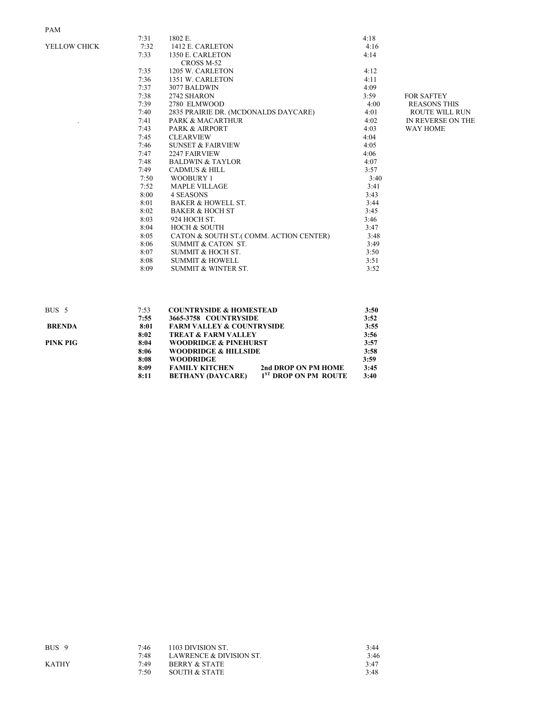# PAM

|              | 7:31 | 1802 E.                                 | 4:18 |                       |
|--------------|------|-----------------------------------------|------|-----------------------|
| YELLOW CHICK | 7:32 | 1412 E. CARLETON                        | 4:16 |                       |
|              | 7:33 | 1350 E. CARLETON                        | 4:14 |                       |
|              |      | CROSS M-52                              |      |                       |
|              | 7:35 | 1205 W. CARLETON                        | 4:12 |                       |
|              | 7:36 | 1351 W. CARLETON                        | 4:11 |                       |
|              | 7:37 | 3077 BALDWIN                            | 4:09 |                       |
|              | 7:38 | 2742 SHARON                             | 3:59 | <b>FOR SAFTEY</b>     |
|              | 7:39 | 2780 ELMWOOD                            | 4:00 | <b>REASONS THIS</b>   |
|              | 7:40 | 2835 PRAIRIE DR. (MCDONALDS DAYCARE)    | 4:01 | <b>ROUTE WILL RUN</b> |
|              | 7:41 | <b>PARK &amp; MACARTHUR</b>             | 4:02 | IN REVERSE ON THE     |
|              | 7:43 | <b>PARK &amp; AIRPORT</b>               | 4:03 | <b>WAY HOME</b>       |
|              | 7:45 | <b>CLEARVIEW</b>                        | 4:04 |                       |
|              | 7:46 | <b>SUNSET &amp; FAIRVIEW</b>            | 4:05 |                       |
|              | 7:47 | <b>2247 FAIRVIEW</b>                    | 4:06 |                       |
|              | 7:48 | <b>BALDWIN &amp; TAYLOR</b>             | 4:07 |                       |
|              | 7:49 | <b>CADMUS &amp; HILL</b>                | 3:57 |                       |
|              | 7:50 | <b>WOOBURY 1</b>                        | 3:40 |                       |
|              | 7:52 | <b>MAPLE VILLAGE</b>                    | 3:41 |                       |
|              | 8:00 | 4 SEASONS                               | 3:43 |                       |
|              | 8:01 | <b>BAKER &amp; HOWELL ST.</b>           | 3:44 |                       |
|              | 8:02 | <b>BAKER &amp; HOCH ST</b>              | 3:45 |                       |
|              | 8:03 | 924 HOCH ST.                            | 3:46 |                       |
|              | 8:04 | <b>HOCH &amp; SOUTH</b>                 | 3:47 |                       |
|              | 8:05 | CATON & SOUTH ST. (COMM. ACTION CENTER) | 3:48 |                       |
|              | 8:06 | SUMMIT & CATON ST.                      | 3:49 |                       |
|              | 8:07 | SUMMIT & HOCH ST.                       | 3:50 |                       |
|              | 8:08 | <b>SUMMIT &amp; HOWELL</b>              | 3:51 |                       |
|              | 8:09 | <b>SUMMIT &amp; WINTER ST.</b>          | 3:52 |                       |
|              |      |                                         |      |                       |

| BUS <sub>5</sub> | 7:53 | <b>COUNTRYSIDE &amp; HOMESTEAD</b>   |                                  | 3:50 |
|------------------|------|--------------------------------------|----------------------------------|------|
|                  | 7:55 | 3665-3758 COUNTRYSIDE                |                                  | 3:52 |
| <b>BRENDA</b>    | 8:01 | <b>FARM VALLEY &amp; COUNTRYSIDE</b> |                                  | 3:55 |
|                  | 8:02 | <b>TREAT &amp; FARM VALLEY</b>       |                                  | 3:56 |
| PINK PIG         | 8:04 | <b>WOODRIDGE &amp; PINEHURST</b>     |                                  | 3:57 |
|                  | 8:06 | <b>WOODRIDGE &amp; HILLSIDE</b>      |                                  | 3:58 |
|                  | 8:08 | <b>WOODRIDGE</b>                     |                                  | 3:59 |
|                  | 8:09 | <b>FAMILY KITCHEN</b>                | 2nd DROP ON PM HOME              | 3:45 |
|                  | 8:11 | <b>BETHANY (DAYCARE)</b>             | 1 <sup>ST</sup> DROP ON PM ROUTE | 3:40 |

| 7:46 | 1103 DIVISION ST.        | 3:44 |
|------|--------------------------|------|
| 7:48 | LAWRENCE & DIVISION ST.  | 3:46 |
| 7.49 | <b>BERRY &amp; STATE</b> | 3:47 |
| 7:50 | SOUTH & STATE            | 3:48 |
|      |                          |      |